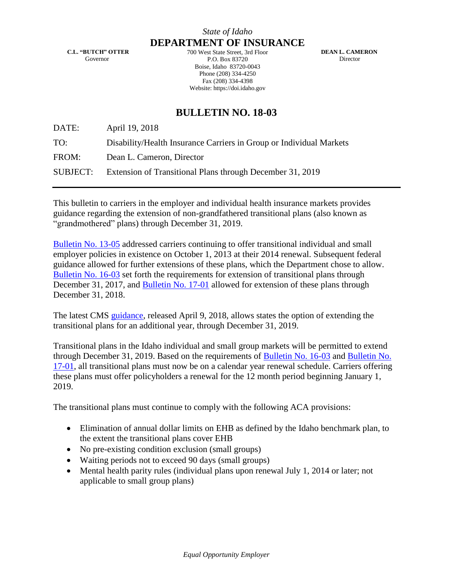**C.L. "BUTCH" OTTER** Governor

**DEPARTMENT OF INSURANCE** 700 West State Street, 3rd Floor P.O. Box 83720 Boise, Idaho 83720-0043 Phone (208) 334-4250 Fax (208) 334-4398 Website: https://doi.idaho.gov

 **DEAN L. CAMERON** Director

## **BULLETIN NO. 18-03**

DATE: April 19, 2018

TO: Disability/Health Insurance Carriers in Group or Individual Markets

FROM: Dean L. Cameron, Director

SUBJECT: Extension of Transitional Plans through December 31, 2019

This bulletin to carriers in the employer and individual health insurance markets provides guidance regarding the extension of non-grandfathered transitional plans (also known as "grandmothered" plans) through December 31, 2019.

[Bulletin No. 13-05](https://doi.idaho.gov/DisplayPDF?Id=2036) addressed carriers continuing to offer transitional individual and small employer policies in existence on October 1, 2013 at their 2014 renewal. Subsequent federal guidance allowed for further extensions of these plans, which the Department chose to allow. [Bulletin No. 16-03](https://doi.idaho.gov/DisplayPDF?Id=2050) set forth the requirements for extension of transitional plans through December 31, 2017, and [Bulletin No. 17-01](https://doi.idaho.gov/DisplayPDF?Id=2244) allowed for extension of these plans through December 31, 2018.

The latest CMS [guidance,](https://www.cms.gov/CCIIO/Resources/Regulations-and-Guidance/Downloads/Extension-Transitional-Policy-Through-CY2019.pdf) released April 9, 2018, allows states the option of extending the transitional plans for an additional year, through December 31, 2019.

Transitional plans in the Idaho individual and small group markets will be permitted to extend through December 31, 2019. Based on the requirements of [Bulletin No. 16-03](https://doi.idaho.gov/DisplayPDF?Id=2050) and [Bulletin No.](https://doi.idaho.gov/DisplayPDF?Id=2244)  [17-01,](https://doi.idaho.gov/DisplayPDF?Id=2244) all transitional plans must now be on a calendar year renewal schedule. Carriers offering these plans must offer policyholders a renewal for the 12 month period beginning January 1, 2019.

The transitional plans must continue to comply with the following ACA provisions:

- Elimination of annual dollar limits on EHB as defined by the Idaho benchmark plan, to the extent the transitional plans cover EHB
- No pre-existing condition exclusion (small groups)
- Waiting periods not to exceed 90 days (small groups)
- Mental health parity rules (individual plans upon renewal July 1, 2014 or later; not applicable to small group plans)